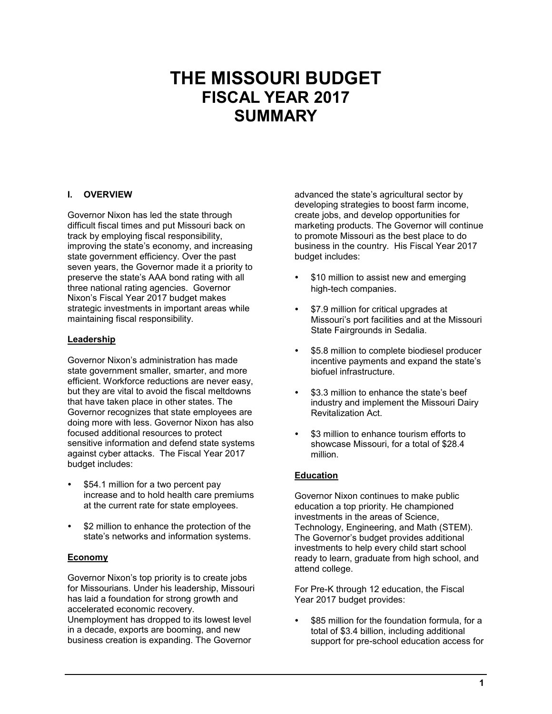# **THE MISSOURI BUDGET FISCAL YEAR 2017 SUMMARY**

## **I. OVERVIEW**

Governor Nixon has led the state through difficult fiscal times and put Missouri back on track by employing fiscal responsibility, improving the state's economy, and increasing state government efficiency. Over the past seven years, the Governor made it a priority to preserve the state's AAA bond rating with all three national rating agencies. Governor Nixon's Fiscal Year 2017 budget makes strategic investments in important areas while maintaining fiscal responsibility.

#### **Leadership**

Governor Nixon's administration has made state government smaller, smarter, and more efficient. Workforce reductions are never easy, but they are vital to avoid the fiscal meltdowns that have taken place in other states. The Governor recognizes that state employees are doing more with less. Governor Nixon has also focused additional resources to protect sensitive information and defend state systems against cyber attacks. The Fiscal Year 2017 budget includes:

- \$54.1 million for a two percent pay increase and to hold health care premiums at the current rate for state employees.
- \$2 million to enhance the protection of the state's networks and information systems.

## **Economy**

Governor Nixon's top priority is to create jobs for Missourians. Under his leadership, Missouri has laid a foundation for strong growth and accelerated economic recovery.

Unemployment has dropped to its lowest level in a decade, exports are booming, and new business creation is expanding. The Governor

advanced the state's agricultural sector by developing strategies to boost farm income, create jobs, and develop opportunities for marketing products. The Governor will continue to promote Missouri as the best place to do business in the country. His Fiscal Year 2017 budget includes:

- \$10 million to assist new and emerging high-tech companies.
- \$7.9 million for critical upgrades at Missouri's port facilities and at the Missouri State Fairgrounds in Sedalia.
- \$5.8 million to complete biodiesel producer incentive payments and expand the state's biofuel infrastructure.
- \$3.3 million to enhance the state's beef industry and implement the Missouri Dairy Revitalization Act.
- \$3 million to enhance tourism efforts to showcase Missouri, for a total of \$28.4 million.

## **Education**

Governor Nixon continues to make public education a top priority. He championed investments in the areas of Science, Technology, Engineering, and Math (STEM). The Governor's budget provides additional investments to help every child start school ready to learn, graduate from high school, and attend college.

For Pre-K through 12 education, the Fiscal Year 2017 budget provides:

\$85 million for the foundation formula, for a total of \$3.4 billion, including additional support for pre-school education access for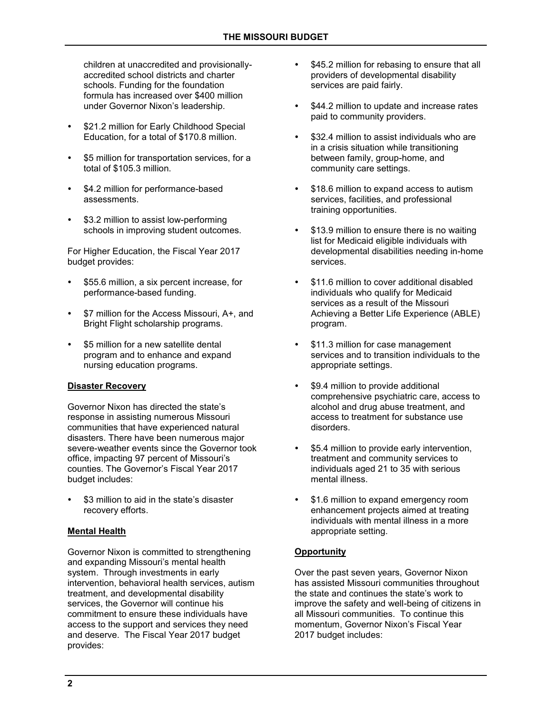children at unaccredited and provisionallyaccredited school districts and charter schools. Funding for the foundation formula has increased over \$400 million under Governor Nixon's leadership.

- **•** \$21.2 million for Early Childhood Special Education, for a total of \$170.8 million.
- **\*** \$5 million for transportation services, for a total of \$105.3 million.
- \$4.2 million for performance-based assessments.
- \$3.2 million to assist low-performing schools in improving student outcomes.

For Higher Education, the Fiscal Year 2017 budget provides:

- **\*** \$55.6 million, a six percent increase, for performance-based funding.
- \$7 million for the Access Missouri, A+, and Bright Flight scholarship programs.
- \$5 million for a new satellite dental program and to enhance and expand nursing education programs.

## **Disaster Recovery**

Governor Nixon has directed the state's response in assisting numerous Missouri communities that have experienced natural disasters. There have been numerous major severe-weather events since the Governor took office, impacting 97 percent of Missouri's counties. The Governor's Fiscal Year 2017 budget includes:

 \$3 million to aid in the state's disaster recovery efforts.

## **Mental Health**

Governor Nixon is committed to strengthening and expanding Missouri's mental health system. Through investments in early intervention, behavioral health services, autism treatment, and developmental disability services, the Governor will continue his commitment to ensure these individuals have access to the support and services they need and deserve. The Fiscal Year 2017 budget provides:

- \$45.2 million for rebasing to ensure that all providers of developmental disability services are paid fairly.
- \$44.2 million to update and increase rates paid to community providers.
- \$32.4 million to assist individuals who are in a crisis situation while transitioning between family, group-home, and community care settings.
- \$18.6 million to expand access to autism services, facilities, and professional training opportunities.
- \$13.9 million to ensure there is no waiting list for Medicaid eligible individuals with developmental disabilities needing in-home services.
- \$11.6 million to cover additional disabled individuals who qualify for Medicaid services as a result of the Missouri Achieving a Better Life Experience (ABLE) program.
- \$11.3 million for case management services and to transition individuals to the appropriate settings.
- \$9.4 million to provide additional comprehensive psychiatric care, access to alcohol and drug abuse treatment, and access to treatment for substance use disorders.
- \$5.4 million to provide early intervention, treatment and community services to individuals aged 21 to 35 with serious mental illness.
- \$1.6 million to expand emergency room enhancement projects aimed at treating individuals with mental illness in a more appropriate setting.

## **Opportunity**

Over the past seven years, Governor Nixon has assisted Missouri communities throughout the state and continues the state's work to improve the safety and well-being of citizens in all Missouri communities. To continue this momentum, Governor Nixon's Fiscal Year 2017 budget includes: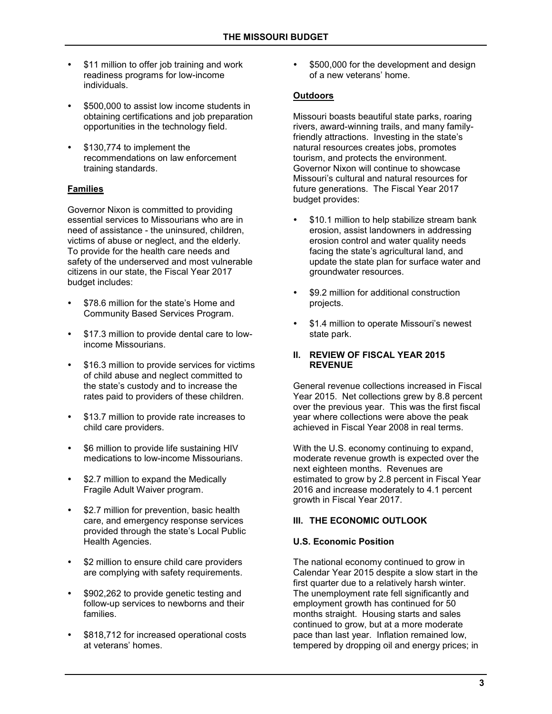- \$11 million to offer job training and work readiness programs for low-income individuals.
- \$500,000 to assist low income students in obtaining certifications and job preparation opportunities in the technology field.
- \$130,774 to implement the recommendations on law enforcement training standards.

## **Families**

Governor Nixon is committed to providing essential services to Missourians who are in need of assistance - the uninsured, children, victims of abuse or neglect, and the elderly. To provide for the health care needs and safety of the underserved and most vulnerable citizens in our state, the Fiscal Year 2017 budget includes:

- \$78.6 million for the state's Home and Community Based Services Program.
- $\bullet$  \$17.3 million to provide dental care to lowincome Missourians.
- \$16.3 million to provide services for victims of child abuse and neglect committed to the state's custody and to increase the rates paid to providers of these children.
- **\$13.7 million to provide rate increases to** child care providers.
- \$6 million to provide life sustaining HIV medications to low-income Missourians.
- \$2.7 million to expand the Medically Fragile Adult Waiver program.
- **•** \$2.7 million for prevention, basic health care, and emergency response services provided through the state's Local Public Health Agencies.
- \$2 million to ensure child care providers are complying with safety requirements.
- \$902,262 to provide genetic testing and follow-up services to newborns and their families.
- $\cdot$  \$818,712 for increased operational costs at veterans' homes.

 \$500,000 for the development and design of a new veterans' home.

## **Outdoors**

Missouri boasts beautiful state parks, roaring rivers, award-winning trails, and many familyfriendly attractions. Investing in the state's natural resources creates jobs, promotes tourism, and protects the environment. Governor Nixon will continue to showcase Missouri's cultural and natural resources for future generations. The Fiscal Year 2017 budget provides:

- \$10.1 million to help stabilize stream bank erosion, assist landowners in addressing erosion control and water quality needs facing the state's agricultural land, and update the state plan for surface water and groundwater resources.
- \$9.2 million for additional construction projects.
- \$1.4 million to operate Missouri's newest state park.

#### **II. REVIEW OF FISCAL YEAR 2015 REVENUE**

General revenue collections increased in Fiscal Year 2015. Net collections grew by 8.8 percent over the previous year. This was the first fiscal year where collections were above the peak achieved in Fiscal Year 2008 in real terms.

With the U.S. economy continuing to expand, moderate revenue growth is expected over the next eighteen months. Revenues are estimated to grow by 2.8 percent in Fiscal Year 2016 and increase moderately to 4.1 percent growth in Fiscal Year 2017.

## **III. THE ECONOMIC OUTLOOK**

## **U.S. Economic Position**

The national economy continued to grow in Calendar Year 2015 despite a slow start in the first quarter due to a relatively harsh winter. The unemployment rate fell significantly and employment growth has continued for 50 months straight. Housing starts and sales continued to grow, but at a more moderate pace than last year. Inflation remained low, tempered by dropping oil and energy prices; in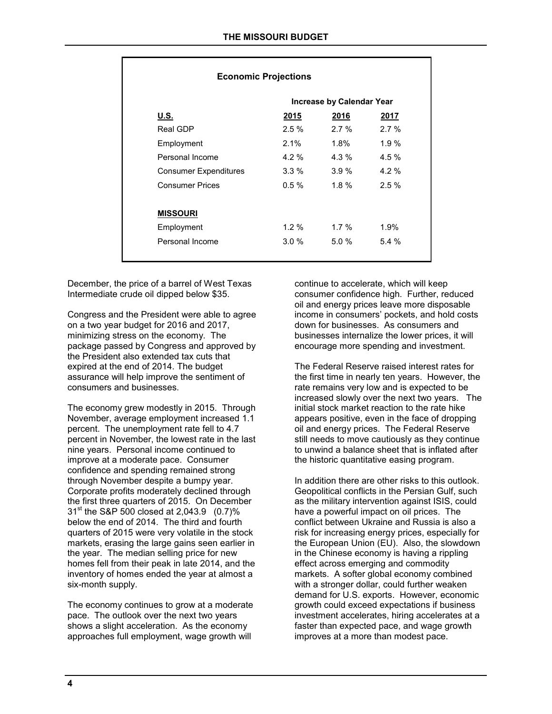| <b>Economic Projections</b>  |          |                                  |               |  |  |  |
|------------------------------|----------|----------------------------------|---------------|--|--|--|
|                              |          | <b>Increase by Calendar Year</b> |               |  |  |  |
| <u>U.S.</u>                  | 2015     | <u> 2016 </u>                    | <u> 2017 </u> |  |  |  |
| Real GDP                     | 2.5%     | 2.7%                             | 2.7%          |  |  |  |
| Employment                   | 2.1%     | 1.8%                             | 1.9%          |  |  |  |
| Personal Income              | 4.2 %    | $4.3\%$                          | 4.5%          |  |  |  |
| <b>Consumer Expenditures</b> | $3.3\%$  | $3.9 \%$                         | $4.2\%$       |  |  |  |
| <b>Consumer Prices</b>       | $0.5 \%$ | $1.8 \%$                         | $2.5\%$       |  |  |  |
| <b>MISSOURI</b>              |          |                                  |               |  |  |  |
| Employment                   | $1.2 \%$ | $1.7\%$                          | 1.9%          |  |  |  |
| Personal Income              | 3.0%     | $5.0 \%$                         | 5.4%          |  |  |  |

December, the price of a barrel of West Texas Intermediate crude oil dipped below \$35.

Congress and the President were able to agree on a two year budget for 2016 and 2017, minimizing stress on the economy. The package passed by Congress and approved by the President also extended tax cuts that expired at the end of 2014. The budget assurance will help improve the sentiment of consumers and businesses.

The economy grew modestly in 2015. Through November, average employment increased 1.1 percent. The unemployment rate fell to 4.7 percent in November, the lowest rate in the last nine years. Personal income continued to improve at a moderate pace. Consumer confidence and spending remained strong through November despite a bumpy year. Corporate profits moderately declined through the first three quarters of 2015. On December  $31^{st}$  the S&P 500 closed at 2,043.9 (0.7)% below the end of 2014. The third and fourth quarters of 2015 were very volatile in the stock markets, erasing the large gains seen earlier in the year. The median selling price for new homes fell from their peak in late 2014, and the inventory of homes ended the year at almost a six-month supply.

The economy continues to grow at a moderate pace. The outlook over the next two years shows a slight acceleration. As the economy approaches full employment, wage growth will

continue to accelerate, which will keep consumer confidence high. Further, reduced oil and energy prices leave more disposable income in consumers' pockets, and hold costs down for businesses. As consumers and businesses internalize the lower prices, it will encourage more spending and investment.

The Federal Reserve raised interest rates for the first time in nearly ten years. However, the rate remains very low and is expected to be increased slowly over the next two years. The initial stock market reaction to the rate hike appears positive, even in the face of dropping oil and energy prices. The Federal Reserve still needs to move cautiously as they continue to unwind a balance sheet that is inflated after the historic quantitative easing program.

In addition there are other risks to this outlook. Geopolitical conflicts in the Persian Gulf, such as the military intervention against ISIS, could have a powerful impact on oil prices. The conflict between Ukraine and Russia is also a risk for increasing energy prices, especially for the European Union (EU). Also, the slowdown in the Chinese economy is having a rippling effect across emerging and commodity markets. A softer global economy combined with a stronger dollar, could further weaken demand for U.S. exports. However, economic growth could exceed expectations if business investment accelerates, hiring accelerates at a faster than expected pace, and wage growth improves at a more than modest pace.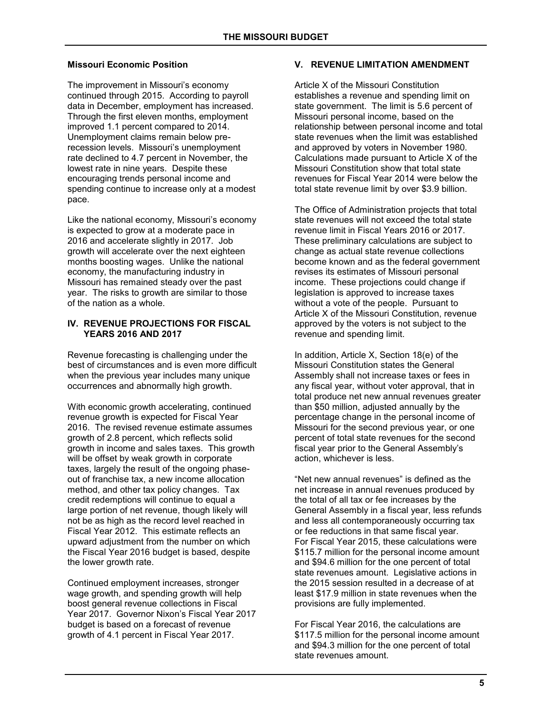### **Missouri Economic Position**

The improvement in Missouri's economy continued through 2015. According to payroll data in December, employment has increased. Through the first eleven months, employment improved 1.1 percent compared to 2014. Unemployment claims remain below prerecession levels. Missouri's unemployment rate declined to 4.7 percent in November, the lowest rate in nine years. Despite these encouraging trends personal income and spending continue to increase only at a modest pace.

Like the national economy, Missouri's economy is expected to grow at a moderate pace in 2016 and accelerate slightly in 2017. Job growth will accelerate over the next eighteen months boosting wages. Unlike the national economy, the manufacturing industry in Missouri has remained steady over the past year. The risks to growth are similar to those of the nation as a whole.

#### **IV. REVENUE PROJECTIONS FOR FISCAL YEARS 2016 AND 2017**

Revenue forecasting is challenging under the best of circumstances and is even more difficult when the previous year includes many unique occurrences and abnormally high growth.

With economic growth accelerating, continued revenue growth is expected for Fiscal Year 2016. The revised revenue estimate assumes growth of 2.8 percent, which reflects solid growth in income and sales taxes. This growth will be offset by weak growth in corporate taxes, largely the result of the ongoing phaseout of franchise tax, a new income allocation method, and other tax policy changes. Tax credit redemptions will continue to equal a large portion of net revenue, though likely will not be as high as the record level reached in Fiscal Year 2012. This estimate reflects an upward adjustment from the number on which the Fiscal Year 2016 budget is based, despite the lower growth rate.

Continued employment increases, stronger wage growth, and spending growth will help boost general revenue collections in Fiscal Year 2017. Governor Nixon's Fiscal Year 2017 budget is based on a forecast of revenue growth of 4.1 percent in Fiscal Year 2017.

### **V. REVENUE LIMITATION AMENDMENT**

Article X of the Missouri Constitution establishes a revenue and spending limit on state government. The limit is 5.6 percent of Missouri personal income, based on the relationship between personal income and total state revenues when the limit was established and approved by voters in November 1980. Calculations made pursuant to Article X of the Missouri Constitution show that total state revenues for Fiscal Year 2014 were below the total state revenue limit by over \$3.9 billion.

The Office of Administration projects that total state revenues will not exceed the total state revenue limit in Fiscal Years 2016 or 2017. These preliminary calculations are subject to change as actual state revenue collections become known and as the federal government revises its estimates of Missouri personal income. These projections could change if legislation is approved to increase taxes without a vote of the people. Pursuant to Article X of the Missouri Constitution, revenue approved by the voters is not subject to the revenue and spending limit.

In addition, Article X, Section 18(e) of the Missouri Constitution states the General Assembly shall not increase taxes or fees in any fiscal year, without voter approval, that in total produce net new annual revenues greater than \$50 million, adjusted annually by the percentage change in the personal income of Missouri for the second previous year, or one percent of total state revenues for the second fiscal year prior to the General Assembly's action, whichever is less.

"Net new annual revenues" is defined as the net increase in annual revenues produced by the total of all tax or fee increases by the General Assembly in a fiscal year, less refunds and less all contemporaneously occurring tax or fee reductions in that same fiscal year. For Fiscal Year 2015, these calculations were \$115.7 million for the personal income amount and \$94.6 million for the one percent of total state revenues amount. Legislative actions in the 2015 session resulted in a decrease of at least \$17.9 million in state revenues when the provisions are fully implemented.

For Fiscal Year 2016, the calculations are \$117.5 million for the personal income amount and \$94.3 million for the one percent of total state revenues amount.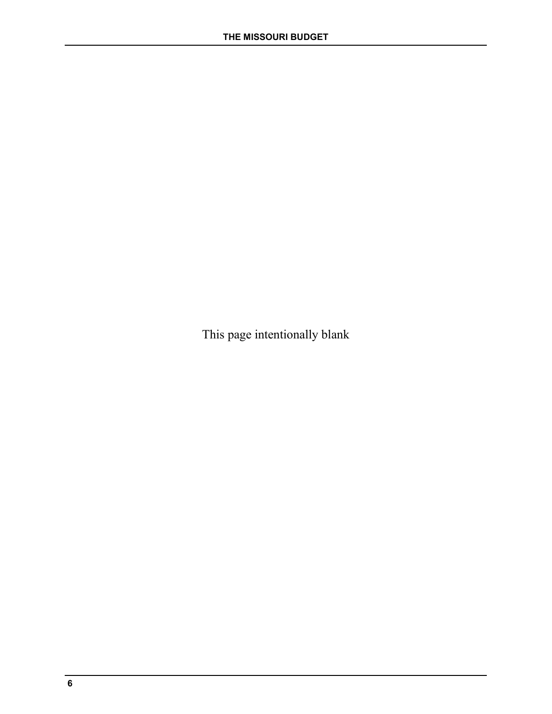This page intentionally blank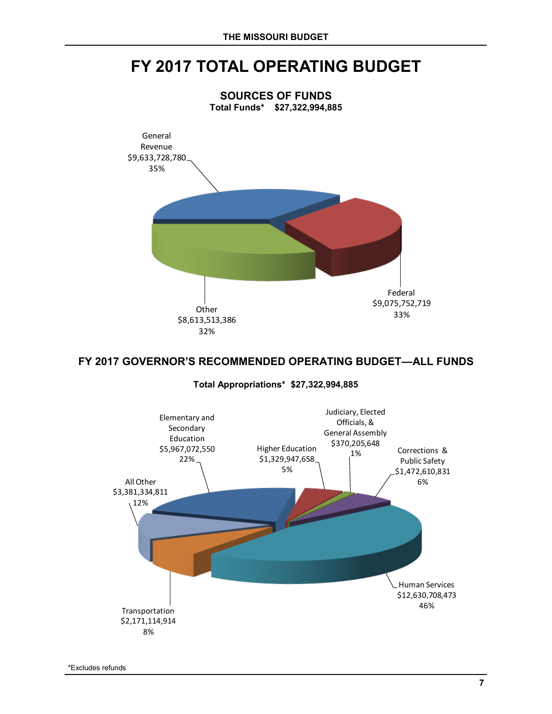# **FY 2017 TOTAL OPERATING BUDGET**



# **FY 2017 GOVERNOR'S RECOMMENDED OPERATING BUDGET—ALL FUNDS**



## **Total Appropriations\* \$27,322,994,885**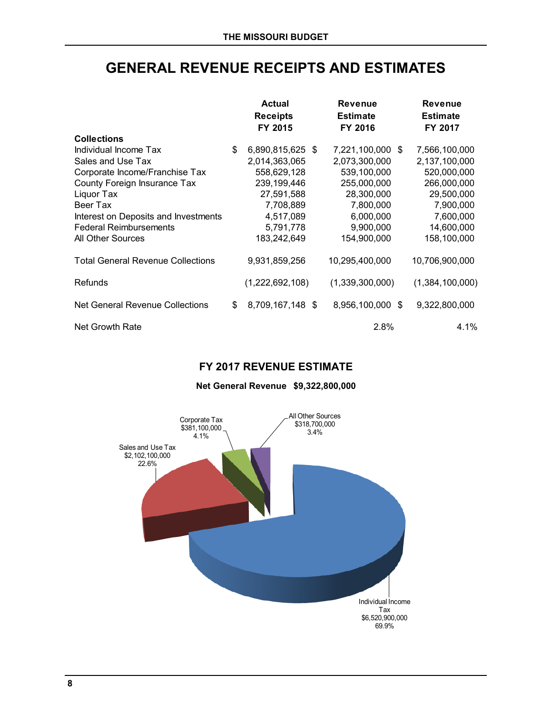# **GENERAL REVENUE RECEIPTS AND ESTIMATES**

|                                          | <b>Actual</b><br><b>Receipts</b><br>FY 2015 | <b>Revenue</b><br><b>Estimate</b><br>FY 2016 | <b>Revenue</b><br><b>Estimate</b><br>FY 2017 |
|------------------------------------------|---------------------------------------------|----------------------------------------------|----------------------------------------------|
| <b>Collections</b>                       |                                             |                                              |                                              |
| Individual Income Tax                    | \$<br>6,890,815,625 \$                      | 7,221,100,000 \$                             | 7,566,100,000                                |
| Sales and Use Tax                        | 2,014,363,065                               | 2,073,300,000                                | 2,137,100,000                                |
| Corporate Income/Franchise Tax           | 558,629,128                                 | 539,100,000                                  | 520,000,000                                  |
| County Foreign Insurance Tax             | 239,199,446                                 | 255,000,000                                  | 266,000,000                                  |
| Liquor Tax                               | 27,591,588                                  | 28,300,000                                   | 29,500,000                                   |
| Beer Tax                                 | 7,708,889                                   | 7,800,000                                    | 7,900,000                                    |
| Interest on Deposits and Investments     | 4,517,089                                   | 6,000,000                                    | 7,600,000                                    |
| <b>Federal Reimbursements</b>            | 5,791,778                                   | 9,900,000                                    | 14,600,000                                   |
| All Other Sources                        | 183,242,649                                 | 154,900,000                                  | 158,100,000                                  |
| <b>Total General Revenue Collections</b> | 9,931,859,256                               | 10,295,400,000                               | 10,706,900,000                               |
| Refunds                                  | (1,222,692,108)                             | (1,339,300,000)                              | (1,384,100,000)                              |
| <b>Net General Revenue Collections</b>   | \$<br>8,709,167,148 \$                      | 8,956,100,000 \$                             | 9,322,800,000                                |
| Net Growth Rate                          |                                             | 2.8%                                         | 4.1%                                         |

# **FY 2017 REVENUE ESTIMATE**

## **Net General Revenue \$9,322,800,000**

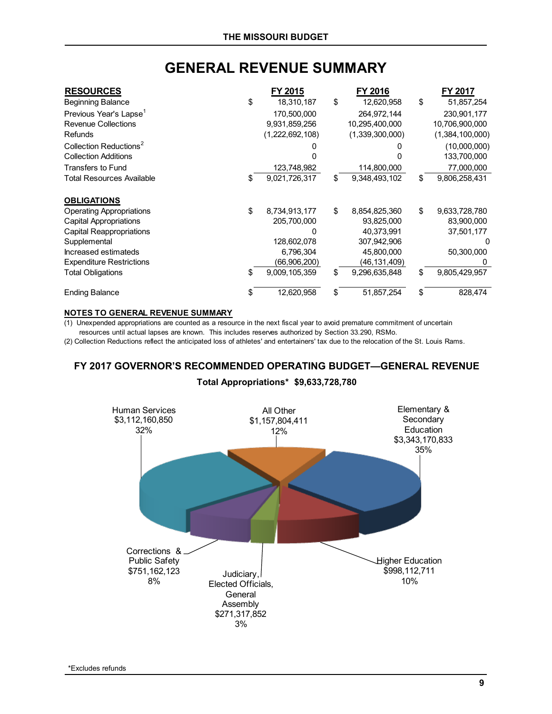# **GENERAL REVENUE SUMMARY**

| <b>RESOURCES</b>                   |    | FY 2015         | FY 2016             | FY 2017             |
|------------------------------------|----|-----------------|---------------------|---------------------|
| <b>Beginning Balance</b>           | \$ | 18,310,187      | \$<br>12,620,958    | \$<br>51,857,254    |
| Previous Year's Lapse <sup>1</sup> |    | 170,500,000     | 264,972,144         | 230,901,177         |
| <b>Revenue Collections</b>         |    | 9,931,859,256   | 10,295,400,000      | 10,706,900,000      |
| Refunds                            |    | (1,222,692,108) | (1,339,300,000)     | (1,384,100,000)     |
| Collection Reductions <sup>2</sup> |    |                 |                     | (10,000,000)        |
| <b>Collection Additions</b>        |    |                 |                     | 133,700,000         |
| Transfers to Fund                  |    | 123,748,982     | 114,800,000         | 77,000,000          |
| Total Resources Available          | \$ | 9,021,726,317   | \$<br>9,348,493,102 | \$<br>9,806,258,431 |
| <b>OBLIGATIONS</b>                 |    |                 |                     |                     |
| <b>Operating Appropriations</b>    | \$ | 8,734,913,177   | \$<br>8,854,825,360 | \$<br>9,633,728,780 |
| <b>Capital Appropriations</b>      |    | 205,700,000     | 93,825,000          | 83,900,000          |
| <b>Capital Reappropriations</b>    |    |                 | 40,373,991          | 37,501,177          |
| Supplemental                       |    | 128,602,078     | 307,942,906         | O                   |
| Increased estimateds               |    | 6,796,304       | 45,800,000          | 50,300,000          |
| <b>Expenditure Restrictions</b>    |    | (66,906,200)    | (46,131,409)        | 0                   |
| Total Obligations                  | \$ | 9,009,105,359   | \$<br>9,296,635,848 | \$<br>9,805,429,957 |
| <b>Ending Balance</b>              | S  | 12,620,958      | \$<br>51,857,254    | \$<br>828,474       |

#### **NOTES TO GENERAL REVENUE SUMMARY**

(1) Unexpended appropriations are counted as a resource in the next fiscal year to avoid premature commitment of uncertain resources until actual lapses are known. This includes reserves authorized by Section 33.290, RSMo.

(2) Collection Reductions reflect the anticipated loss of athletes' and entertainers' tax due to the relocation of the St. Louis Rams.

## **FY 2017 GOVERNOR'S RECOMMENDED OPERATING BUDGET—GENERAL REVENUE**



**Total Appropriations\* \$9,633,728,780**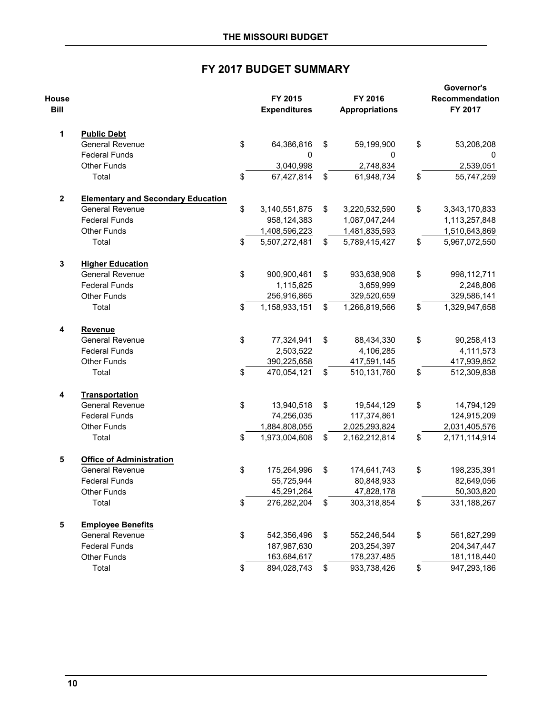|                      |                                           |                                |                                  | Governor's                |
|----------------------|-------------------------------------------|--------------------------------|----------------------------------|---------------------------|
| House<br><b>Bill</b> |                                           | FY 2015<br><b>Expenditures</b> | FY 2016<br><b>Appropriations</b> | Recommendation<br>FY 2017 |
| 1                    | <b>Public Debt</b>                        |                                |                                  |                           |
|                      | <b>General Revenue</b>                    | \$<br>64,386,816               | \$<br>59,199,900                 | \$<br>53,208,208          |
|                      | <b>Federal Funds</b>                      | $\mathbf 0$                    | 0                                | 0                         |
|                      | <b>Other Funds</b>                        | 3,040,998                      | 2,748,834                        | 2,539,051                 |
|                      | Total                                     | \$<br>67,427,814               | \$<br>61,948,734                 | \$<br>55,747,259          |
| $\mathbf 2$          | <b>Elementary and Secondary Education</b> |                                |                                  |                           |
|                      | <b>General Revenue</b>                    | \$<br>3, 140, 551, 875         | \$<br>3,220,532,590              | \$<br>3,343,170,833       |
|                      | <b>Federal Funds</b>                      | 958,124,383                    | 1,087,047,244                    | 1,113,257,848             |
|                      | <b>Other Funds</b>                        | 1,408,596,223                  | 1,481,835,593                    | 1,510,643,869             |
|                      | Total                                     | \$<br>5,507,272,481            | \$<br>5,789,415,427              | \$<br>5,967,072,550       |
| $\mathbf 3$          | <b>Higher Education</b>                   |                                |                                  |                           |
|                      | General Revenue                           | \$<br>900,900,461              | \$<br>933,638,908                | \$<br>998,112,711         |
|                      | <b>Federal Funds</b>                      | 1,115,825                      | 3,659,999                        | 2,248,806                 |
|                      | <b>Other Funds</b>                        | 256,916,865                    | 329,520,659                      | 329,586,141               |
|                      | Total                                     | \$<br>1,158,933,151            | \$<br>1,266,819,566              | \$<br>1,329,947,658       |
| 4                    | <b>Revenue</b>                            |                                |                                  |                           |
|                      | <b>General Revenue</b>                    | \$<br>77,324,941               | \$<br>88,434,330                 | \$<br>90,258,413          |
|                      | <b>Federal Funds</b>                      | 2,503,522                      | 4,106,285                        | 4,111,573                 |
|                      | <b>Other Funds</b>                        | 390,225,658                    | 417,591,145                      | 417,939,852               |
|                      | Total                                     | \$<br>470,054,121              | \$<br>510,131,760                | \$<br>512,309,838         |
| 4                    | <b>Transportation</b>                     |                                |                                  |                           |
|                      | <b>General Revenue</b>                    | \$<br>13,940,518               | \$<br>19,544,129                 | \$<br>14,794,129          |
|                      | <b>Federal Funds</b>                      | 74,256,035                     | 117,374,861                      | 124,915,209               |
|                      | <b>Other Funds</b>                        | 1,884,808,055                  | 2,025,293,824                    | 2,031,405,576             |
|                      | Total                                     | \$<br>1,973,004,608            | \$<br>2,162,212,814              | \$<br>2,171,114,914       |
| 5                    | <b>Office of Administration</b>           |                                |                                  |                           |
|                      | <b>General Revenue</b>                    | \$<br>175,264,996              | \$<br>174,641,743                | \$<br>198,235,391         |
|                      | <b>Federal Funds</b>                      | 55,725,944                     | 80,848,933                       | 82,649,056                |
|                      | <b>Other Funds</b>                        | 45,291,264                     | 47,828,178                       | 50,303,820                |
|                      | Total                                     | \$<br>276,282,204              | \$<br>303,318,854                | \$<br>331,188,267         |
| 5                    | <b>Employee Benefits</b>                  |                                |                                  |                           |
|                      | General Revenue                           | \$<br>542,356,496              | \$<br>552,246,544                | \$<br>561,827,299         |
|                      | <b>Federal Funds</b>                      | 187,987,630                    | 203,254,397                      | 204, 347, 447             |
|                      | <b>Other Funds</b>                        | 163,684,617                    | 178,237,485                      | 181,118,440               |
|                      | Total                                     | \$<br>894,028,743              | \$<br>933,738,426                | \$<br>947,293,186         |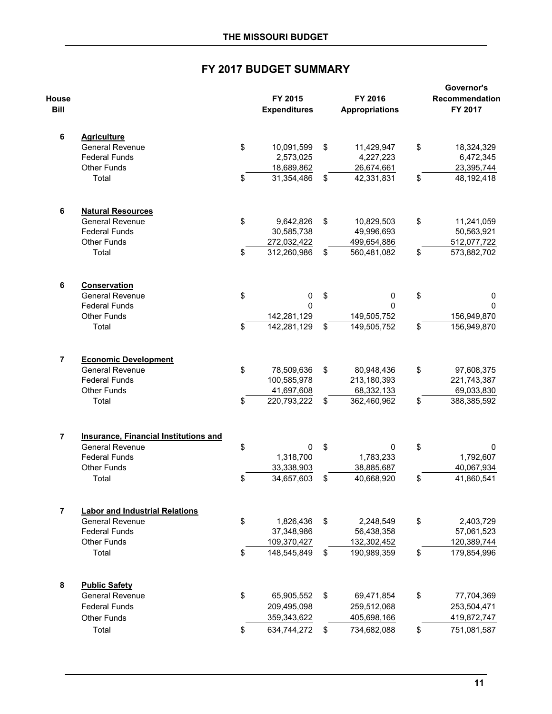| House<br><b>Bill</b>    |                                              | FY 2015<br><b>Expenditures</b> | FY 2016<br><b>Appropriations</b> | Governor's<br>Recommendation<br>FY 2017 |
|-------------------------|----------------------------------------------|--------------------------------|----------------------------------|-----------------------------------------|
| $\bf 6$                 | <b>Agriculture</b>                           |                                |                                  |                                         |
|                         | <b>General Revenue</b>                       | \$<br>10,091,599               | \$<br>11,429,947                 | \$<br>18,324,329                        |
|                         | <b>Federal Funds</b>                         | 2,573,025                      | 4,227,223                        | 6,472,345                               |
|                         | <b>Other Funds</b>                           | 18,689,862                     | 26,674,661                       | 23,395,744                              |
|                         | Total                                        | \$<br>31,354,486               | \$<br>42,331,831                 | \$<br>48,192,418                        |
| $\bf 6$                 | <b>Natural Resources</b>                     |                                |                                  |                                         |
|                         | <b>General Revenue</b>                       | \$<br>9,642,826                | \$<br>10,829,503                 | \$<br>11,241,059                        |
|                         | <b>Federal Funds</b>                         | 30,585,738                     | 49,996,693                       | 50,563,921                              |
|                         | <b>Other Funds</b>                           | 272,032,422                    | 499,654,886                      | 512,077,722                             |
|                         | Total                                        | \$<br>312,260,986              | \$<br>560,481,082                | \$<br>573,882,702                       |
| $\bf 6$                 | <b>Conservation</b>                          |                                |                                  |                                         |
|                         | General Revenue                              | \$<br>$\mathbf 0$              | \$<br>$\pmb{0}$                  | \$<br>0                                 |
|                         | <b>Federal Funds</b>                         | $\Omega$                       | $\Omega$                         | 0                                       |
|                         | <b>Other Funds</b>                           | 142,281,129<br>142,281,129     | 149,505,752                      | 156,949,870                             |
|                         | Total                                        | \$                             | \$<br>149,505,752                | \$<br>156,949,870                       |
| $\overline{\mathbf{r}}$ | <b>Economic Development</b>                  |                                |                                  |                                         |
|                         | <b>General Revenue</b>                       | \$<br>78,509,636               | \$<br>80,948,436                 | \$<br>97,608,375                        |
|                         | <b>Federal Funds</b>                         | 100,585,978                    | 213,180,393                      | 221,743,387                             |
|                         | <b>Other Funds</b>                           | 41,697,608                     | 68,332,133                       | 69,033,830                              |
|                         | Total                                        | \$<br>220,793,222              | \$<br>362,460,962                | \$<br>388,385,592                       |
| $\overline{\mathbf{r}}$ | <b>Insurance, Financial Institutions and</b> |                                |                                  |                                         |
|                         | <b>General Revenue</b>                       | \$<br>0                        | \$<br>0                          | \$<br>0                                 |
|                         | <b>Federal Funds</b>                         | 1,318,700                      | 1,783,233                        | 1,792,607                               |
|                         | <b>Other Funds</b>                           | 33,338,903                     | 38,885,687                       | 40,067,934                              |
|                         | Total                                        | \$<br>34,657,603               | \$<br>40,668,920                 | \$<br>41,860,541                        |
| 7                       | <b>Labor and Industrial Relations</b>        |                                |                                  |                                         |
|                         | <b>General Revenue</b>                       | \$<br>1,826,436                | \$<br>2,248,549                  | \$<br>2,403,729                         |
|                         | <b>Federal Funds</b>                         | 37,348,986                     | 56,438,358                       | 57,061,523                              |
|                         | <b>Other Funds</b>                           | 109,370,427                    | 132,302,452                      | 120,389,744                             |
|                         | Total                                        | \$<br>148,545,849              | \$<br>190,989,359                | \$<br>179,854,996                       |
| 8                       | <b>Public Safety</b>                         |                                |                                  |                                         |
|                         | <b>General Revenue</b>                       | \$<br>65,905,552               | \$<br>69,471,854                 | \$<br>77,704,369                        |
|                         | <b>Federal Funds</b>                         | 209,495,098                    | 259,512,068                      | 253,504,471                             |
|                         | <b>Other Funds</b>                           | 359,343,622                    | 405,698,166                      | 419,872,747                             |
|                         | Total                                        | \$<br>634,744,272              | \$<br>734,682,088                | \$<br>751,081,587                       |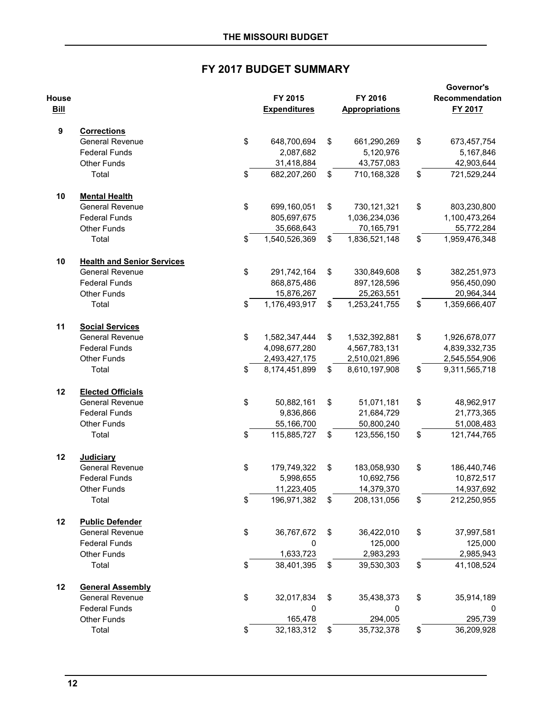| House<br><b>Bill</b> |                                   | FY 2015<br><b>Expenditures</b> | FY 2016<br><b>Appropriations</b> | Governor's<br>Recommendation<br>FY 2017 |
|----------------------|-----------------------------------|--------------------------------|----------------------------------|-----------------------------------------|
| $\boldsymbol{9}$     | <b>Corrections</b>                |                                |                                  |                                         |
|                      | General Revenue                   | \$<br>648,700,694              | \$<br>661,290,269                | \$<br>673,457,754                       |
|                      | <b>Federal Funds</b>              | 2,087,682                      | 5,120,976                        | 5,167,846                               |
|                      | <b>Other Funds</b>                | 31,418,884                     | 43,757,083                       | 42,903,644                              |
|                      | Total                             | \$<br>682,207,260              | \$<br>710,168,328                | \$<br>721,529,244                       |
| 10                   | <b>Mental Health</b>              |                                |                                  |                                         |
|                      | General Revenue                   | \$<br>699,160,051              | \$<br>730,121,321                | \$<br>803,230,800                       |
|                      | <b>Federal Funds</b>              | 805,697,675                    | 1,036,234,036                    | 1,100,473,264                           |
|                      | <b>Other Funds</b>                | 35,668,643                     | 70,165,791                       | 55,772,284                              |
|                      | Total                             | \$<br>1,540,526,369            | \$<br>1,836,521,148              | \$<br>1,959,476,348                     |
| 10                   | <b>Health and Senior Services</b> |                                |                                  |                                         |
|                      | General Revenue                   | \$<br>291,742,164              | \$<br>330,849,608                | \$<br>382,251,973                       |
|                      | <b>Federal Funds</b>              | 868,875,486                    | 897,128,596                      | 956,450,090                             |
|                      | <b>Other Funds</b>                | 15,876,267                     | 25,263,551                       | 20,964,344                              |
|                      | Total                             | \$<br>1,176,493,917            | \$<br>1,253,241,755              | \$<br>1,359,666,407                     |
| 11                   | <b>Social Services</b>            |                                |                                  |                                         |
|                      | General Revenue                   | \$<br>1,582,347,444            | \$<br>1,532,392,881              | \$<br>1,926,678,077                     |
|                      | <b>Federal Funds</b>              | 4,098,677,280                  | 4,567,783,131                    | 4,839,332,735                           |
|                      | <b>Other Funds</b>                | 2,493,427,175                  | 2,510,021,896                    | 2,545,554,906                           |
|                      | Total                             | \$<br>8,174,451,899            | \$<br>8,610,197,908              | \$<br>9,311,565,718                     |
| 12                   | <b>Elected Officials</b>          |                                |                                  |                                         |
|                      | General Revenue                   | \$<br>50,882,161               | \$<br>51,071,181                 | \$<br>48,962,917                        |
|                      | <b>Federal Funds</b>              | 9,836,866                      | 21,684,729                       | 21,773,365                              |
|                      | <b>Other Funds</b>                | 55,166,700                     | 50,800,240                       | 51,008,483                              |
|                      | Total                             | \$<br>115,885,727              | \$<br>123,556,150                | \$<br>121,744,765                       |
| 12                   | <b>Judiciary</b>                  |                                |                                  |                                         |
|                      | General Revenue                   | \$<br>179,749,322              | \$<br>183,058,930                | \$<br>186,440,746                       |
|                      | <b>Federal Funds</b>              | 5,998,655                      | 10,692,756                       | 10,872,517                              |
|                      | Other Funds                       | 11,223,405                     | 14,379,370                       | 14,937,692                              |
|                      | Total                             | \$<br>196,971,382              | \$<br>208,131,056                | \$<br>212,250,955                       |
| 12                   | <b>Public Defender</b>            |                                |                                  |                                         |
|                      | General Revenue                   | \$<br>36,767,672               | \$<br>36,422,010                 | \$<br>37,997,581                        |
|                      | <b>Federal Funds</b>              | $\mathbf 0$                    | 125,000                          | 125,000                                 |
|                      | <b>Other Funds</b>                | 1,633,723                      | 2,983,293                        | 2,985,943                               |
|                      | Total                             | \$<br>38,401,395               | \$<br>39,530,303                 | \$<br>41,108,524                        |
| 12                   | <b>General Assembly</b>           |                                |                                  |                                         |
|                      | General Revenue                   | \$<br>32,017,834               | \$<br>35,438,373                 | \$<br>35,914,189                        |
|                      | <b>Federal Funds</b>              | 0                              | 0                                | 0                                       |
|                      | <b>Other Funds</b>                | 165,478                        | 294,005                          | 295,739                                 |
|                      | Total                             | \$<br>32,183,312               | \$<br>35,732,378                 | \$<br>36,209,928                        |
|                      |                                   |                                |                                  |                                         |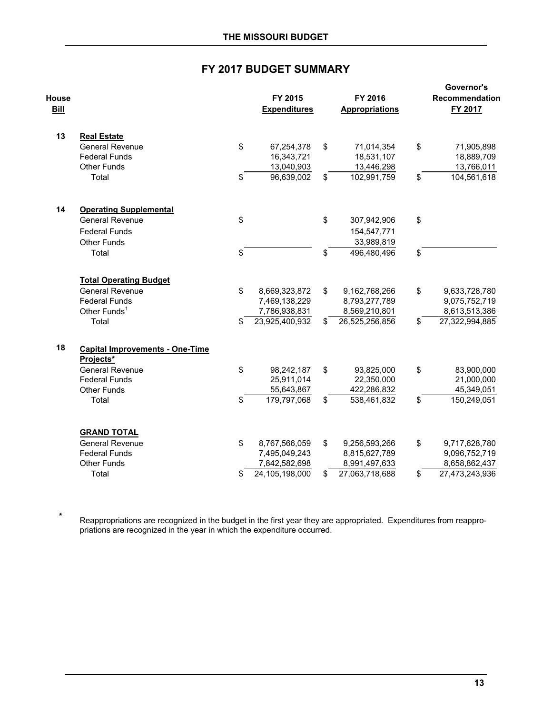| House<br><b>Bill</b> |                                                     | FY 2015<br><b>Expenditures</b> | FY 2016<br><b>Appropriations</b> | Governor's<br>Recommendation<br>FY 2017 |
|----------------------|-----------------------------------------------------|--------------------------------|----------------------------------|-----------------------------------------|
| 13                   | <b>Real Estate</b>                                  |                                |                                  |                                         |
|                      | <b>General Revenue</b>                              | \$<br>67,254,378               | \$<br>71,014,354                 | \$<br>71,905,898                        |
|                      | <b>Federal Funds</b>                                | 16,343,721                     | 18,531,107                       | 18,889,709                              |
|                      | <b>Other Funds</b>                                  | 13,040,903                     | 13,446,298                       | 13,766,011                              |
|                      | Total                                               | \$<br>96,639,002               | \$<br>102,991,759                | \$<br>104,561,618                       |
| 14                   | <b>Operating Supplemental</b>                       |                                |                                  |                                         |
|                      | <b>General Revenue</b>                              | \$                             | \$<br>307,942,906                | \$                                      |
|                      | <b>Federal Funds</b>                                |                                | 154,547,771                      |                                         |
|                      | <b>Other Funds</b>                                  |                                | 33,989,819                       |                                         |
|                      | Total                                               | \$                             | \$<br>496,480,496                | \$                                      |
|                      | <b>Total Operating Budget</b>                       |                                |                                  |                                         |
|                      | <b>General Revenue</b>                              | \$<br>8,669,323,872            | \$<br>9,162,768,266              | \$<br>9,633,728,780                     |
|                      | <b>Federal Funds</b>                                | 7,469,138,229                  | 8,793,277,789                    | 9,075,752,719                           |
|                      | Other Funds <sup>1</sup>                            | 7,786,938,831                  | 8,569,210,801                    | 8,613,513,386                           |
|                      | Total                                               | \$<br>23,925,400,932           | \$<br>26,525,256,856             | \$<br>27,322,994,885                    |
| 18                   | <b>Capital Improvements - One-Time</b><br>Projects* |                                |                                  |                                         |
|                      | <b>General Revenue</b>                              | \$<br>98,242,187               | \$<br>93,825,000                 | \$<br>83,900,000                        |
|                      | <b>Federal Funds</b>                                | 25,911,014                     | 22,350,000                       | 21,000,000                              |
|                      | <b>Other Funds</b>                                  | 55,643,867                     | 422,286,832                      | 45,349,051                              |
|                      | Total                                               | \$<br>179,797,068              | \$<br>538,461,832                | \$<br>150,249,051                       |
|                      | <b>GRAND TOTAL</b>                                  |                                |                                  |                                         |
|                      | <b>General Revenue</b>                              | \$<br>8,767,566,059            | \$<br>9,256,593,266              | \$<br>9,717,628,780                     |
|                      | <b>Federal Funds</b>                                | 7,495,049,243                  | 8,815,627,789                    | 9,096,752,719                           |
|                      | <b>Other Funds</b>                                  | 7,842,582,698                  | 8,991,497,633                    | 8,658,862,437                           |
|                      | Total                                               | \$<br>24,105,198,000           | \$<br>27,063,718,688             | \$<br>27,473,243,936                    |
|                      |                                                     |                                |                                  |                                         |

**\***

Reappropriations are recognized in the budget in the first year they are appropriated. Expenditures from reappropriations are recognized in the year in which the expenditure occurred.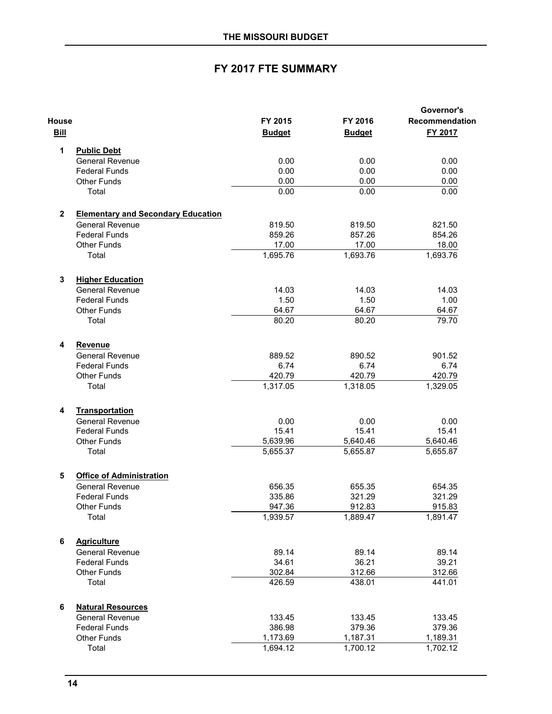# **FY 2017 FTE SUMMARY**

|              |                                           |               |               | Governor's     |
|--------------|-------------------------------------------|---------------|---------------|----------------|
| House        |                                           | FY 2015       | FY 2016       | Recommendation |
| <b>Bill</b>  |                                           | <b>Budget</b> | <b>Budget</b> | FY 2017        |
| 1            | <b>Public Debt</b>                        |               |               |                |
|              | <b>General Revenue</b>                    | 0.00          | 0.00          | 0.00           |
|              | <b>Federal Funds</b>                      | 0.00          | 0.00          | 0.00           |
|              | <b>Other Funds</b>                        | 0.00          | 0.00          | 0.00           |
|              | Total                                     | 0.00          | 0.00          | 0.00           |
| $\mathbf{2}$ | <b>Elementary and Secondary Education</b> |               |               |                |
|              | <b>General Revenue</b>                    | 819.50        | 819.50        | 821.50         |
|              | <b>Federal Funds</b>                      | 859.26        | 857.26        | 854.26         |
|              | <b>Other Funds</b>                        | 17.00         | 17.00         | 18.00          |
|              | Total                                     | 1,695.76      | 1,693.76      | 1,693.76       |
| $\mathbf 3$  | <b>Higher Education</b>                   |               |               |                |
|              | <b>General Revenue</b>                    | 14.03         | 14.03         | 14.03          |
|              | <b>Federal Funds</b>                      | 1.50          | 1.50          | 1.00           |
|              | <b>Other Funds</b>                        | 64.67         | 64.67         | 64.67          |
|              | Total                                     | 80.20         | 80.20         | 79.70          |
| 4            | <b>Revenue</b>                            |               |               |                |
|              | <b>General Revenue</b>                    | 889.52        | 890.52        | 901.52         |
|              | <b>Federal Funds</b>                      | 6.74          | 6.74          | 6.74           |
|              | <b>Other Funds</b>                        | 420.79        | 420.79        | 420.79         |
|              | Total                                     | 1,317.05      | 1,318.05      | 1,329.05       |
| 4            | <b>Transportation</b>                     |               |               |                |
|              | <b>General Revenue</b>                    | 0.00          | 0.00          | 0.00           |
|              | <b>Federal Funds</b>                      | 15.41         | 15.41         | 15.41          |
|              | <b>Other Funds</b>                        | 5,639.96      | 5,640.46      | 5,640.46       |
|              | Total                                     | 5,655.37      | 5,655.87      | 5,655.87       |
| 5            | <b>Office of Administration</b>           |               |               |                |
|              | <b>General Revenue</b>                    | 656.35        | 655.35        | 654.35         |
|              | <b>Federal Funds</b>                      | 335.86        | 321.29        | 321.29         |
|              | <b>Other Funds</b>                        | 947.36        | 912.83        | 915.83         |
|              | Total                                     | 1,939.57      | 1,889.47      | 1,891.47       |
| 6            | <b>Agriculture</b>                        |               |               |                |
|              | General Revenue                           | 89.14         | 89.14         | 89.14          |
|              | <b>Federal Funds</b>                      | 34.61         | 36.21         | 39.21          |
|              | <b>Other Funds</b>                        | 302.84        | 312.66        | 312.66         |
|              | Total                                     | 426.59        | 438.01        | 441.01         |
| 6            | <b>Natural Resources</b>                  |               |               |                |
|              | General Revenue                           | 133.45        | 133.45        | 133.45         |
|              | <b>Federal Funds</b>                      | 386.98        | 379.36        | 379.36         |
|              | <b>Other Funds</b>                        | 1,173.69      | 1,187.31      | 1,189.31       |
|              | Total                                     | 1,694.12      | 1,700.12      | 1,702.12       |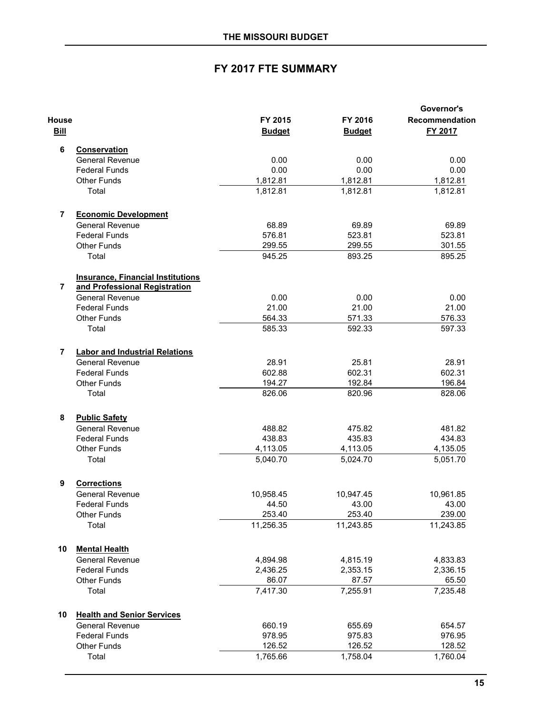# **FY 2017 FTE SUMMARY**

|                |                                                                           |               |               | Governor's     |
|----------------|---------------------------------------------------------------------------|---------------|---------------|----------------|
| House          |                                                                           | FY 2015       | FY 2016       | Recommendation |
| <b>Bill</b>    |                                                                           | <b>Budget</b> | <b>Budget</b> | FY 2017        |
| 6              | <b>Conservation</b>                                                       |               |               |                |
|                | <b>General Revenue</b>                                                    | 0.00          | 0.00          | 0.00           |
|                | <b>Federal Funds</b>                                                      | 0.00          | 0.00          | 0.00           |
|                | <b>Other Funds</b>                                                        | 1,812.81      | 1,812.81      | 1,812.81       |
|                | Total                                                                     | 1,812.81      | 1,812.81      | 1,812.81       |
| $\overline{7}$ | <b>Economic Development</b>                                               |               |               |                |
|                | <b>General Revenue</b>                                                    | 68.89         | 69.89         | 69.89          |
|                | <b>Federal Funds</b>                                                      | 576.81        | 523.81        | 523.81         |
|                | Other Funds                                                               | 299.55        | 299.55        | 301.55         |
|                | Total                                                                     | 945.25        | 893.25        | 895.25         |
| $\overline{7}$ | <b>Insurance, Financial Institutions</b><br>and Professional Registration |               |               |                |
|                | <b>General Revenue</b>                                                    | 0.00          | 0.00          | 0.00           |
|                | <b>Federal Funds</b>                                                      | 21.00         | 21.00         | 21.00          |
|                | <b>Other Funds</b>                                                        | 564.33        | 571.33        | 576.33         |
|                | Total                                                                     | 585.33        | 592.33        | 597.33         |
| $\overline{7}$ | <b>Labor and Industrial Relations</b>                                     |               |               |                |
|                | <b>General Revenue</b>                                                    | 28.91         | 25.81         | 28.91          |
|                | <b>Federal Funds</b>                                                      | 602.88        | 602.31        | 602.31         |
|                | <b>Other Funds</b>                                                        | 194.27        | 192.84        | 196.84         |
|                | Total                                                                     | 826.06        | 820.96        | 828.06         |
| 8              | <b>Public Safety</b>                                                      |               |               |                |
|                | <b>General Revenue</b>                                                    | 488.82        | 475.82        | 481.82         |
|                | <b>Federal Funds</b>                                                      | 438.83        | 435.83        | 434.83         |
|                | <b>Other Funds</b>                                                        | 4,113.05      | 4,113.05      | 4,135.05       |
|                | Total                                                                     | 5,040.70      | 5,024.70      | 5,051.70       |
| 9              | <b>Corrections</b>                                                        |               |               |                |
|                | <b>General Revenue</b>                                                    | 10,958.45     | 10,947.45     | 10,961.85      |
|                | <b>Federal Funds</b>                                                      | 44.50         | 43.00         | 43.00          |
|                | Other Funds                                                               | 253.40        | 253.40        | 239.00         |
|                | Total                                                                     | 11,256.35     | 11,243.85     | 11,243.85      |
| 10             | <b>Mental Health</b>                                                      |               |               |                |
|                | <b>General Revenue</b>                                                    | 4,894.98      | 4,815.19      | 4,833.83       |
|                | <b>Federal Funds</b>                                                      | 2,436.25      | 2,353.15      | 2,336.15       |
|                | <b>Other Funds</b>                                                        | 86.07         | 87.57         | 65.50          |
|                | Total                                                                     | 7,417.30      | 7,255.91      | 7,235.48       |
| 10             | <b>Health and Senior Services</b>                                         |               |               |                |
|                | General Revenue                                                           | 660.19        | 655.69        | 654.57         |
|                | <b>Federal Funds</b>                                                      | 978.95        | 975.83        | 976.95         |
|                | <b>Other Funds</b>                                                        | 126.52        | 126.52        | 128.52         |
|                | Total                                                                     | 1,765.66      | 1,758.04      | 1,760.04       |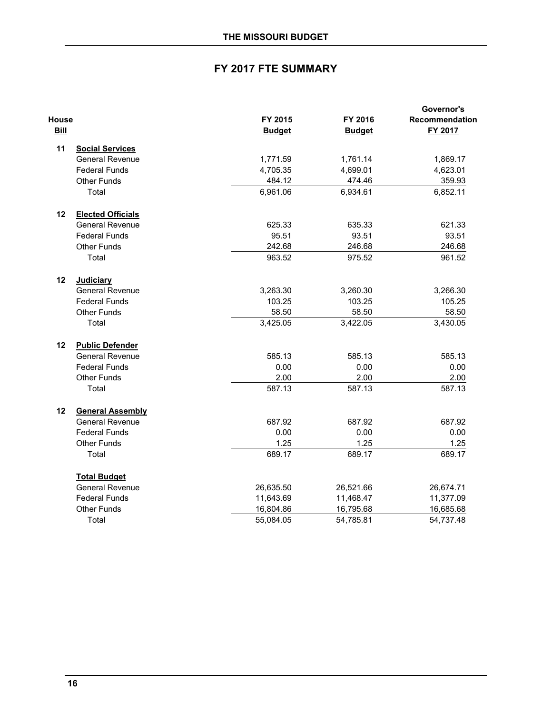# **FY 2017 FTE SUMMARY**

|             |                          |               |               | Governor's     |
|-------------|--------------------------|---------------|---------------|----------------|
| House       |                          | FY 2015       | FY 2016       | Recommendation |
| <b>Bill</b> |                          | <b>Budget</b> | <b>Budget</b> | FY 2017        |
| 11          | <b>Social Services</b>   |               |               |                |
|             | <b>General Revenue</b>   | 1,771.59      | 1,761.14      | 1,869.17       |
|             | <b>Federal Funds</b>     | 4,705.35      | 4,699.01      | 4,623.01       |
|             | <b>Other Funds</b>       | 484.12        | 474.46        | 359.93         |
|             | Total                    | 6,961.06      | 6,934.61      | 6,852.11       |
| 12          | <b>Elected Officials</b> |               |               |                |
|             | <b>General Revenue</b>   | 625.33        | 635.33        | 621.33         |
|             | <b>Federal Funds</b>     | 95.51         | 93.51         | 93.51          |
|             | <b>Other Funds</b>       | 242.68        | 246.68        | 246.68         |
|             | Total                    | 963.52        | 975.52        | 961.52         |
| 12          | <b>Judiciary</b>         |               |               |                |
|             | <b>General Revenue</b>   | 3,263.30      | 3,260.30      | 3,266.30       |
|             | <b>Federal Funds</b>     | 103.25        | 103.25        | 105.25         |
|             | <b>Other Funds</b>       | 58.50         | 58.50         | 58.50          |
|             | Total                    | 3,425.05      | 3,422.05      | 3,430.05       |
| 12          | <b>Public Defender</b>   |               |               |                |
|             | <b>General Revenue</b>   | 585.13        | 585.13        | 585.13         |
|             | <b>Federal Funds</b>     | 0.00          | 0.00          | 0.00           |
|             | <b>Other Funds</b>       | 2.00          | 2.00          | 2.00           |
|             | Total                    | 587.13        | 587.13        | 587.13         |
| 12          | <b>General Assembly</b>  |               |               |                |
|             | <b>General Revenue</b>   | 687.92        | 687.92        | 687.92         |
|             | <b>Federal Funds</b>     | 0.00          | 0.00          | 0.00           |
|             | <b>Other Funds</b>       | 1.25          | 1.25          | 1.25           |
|             | Total                    | 689.17        | 689.17        | 689.17         |
|             | <b>Total Budget</b>      |               |               |                |
|             | <b>General Revenue</b>   | 26,635.50     | 26,521.66     | 26,674.71      |
|             | <b>Federal Funds</b>     | 11,643.69     | 11,468.47     | 11,377.09      |
|             | <b>Other Funds</b>       | 16,804.86     | 16,795.68     | 16,685.68      |
|             | Total                    | 55,084.05     | 54,785.81     | 54,737.48      |